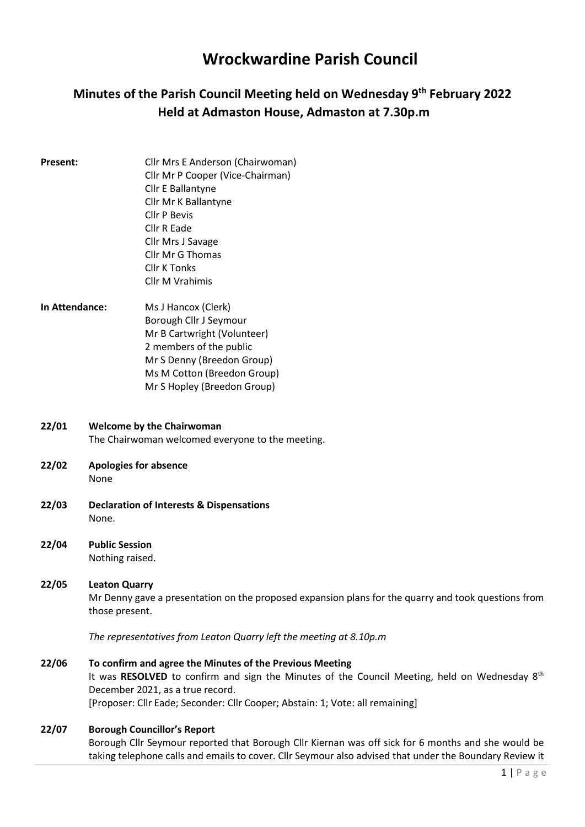# Wrockwardine Parish Council

# Minutes of the Parish Council Meeting held on Wednesday 9<sup>th</sup> February 2022 Held at Admaston House, Admaston at 7.30p.m

- **Present:** Cllr Mrs E Anderson (Chairwoman) Cllr Mr P Cooper (Vice-Chairman) Cllr E Ballantyne Cllr Mr K Ballantyne Cllr P Bevis Cllr R Eade Cllr Mrs J Savage Cllr Mr G Thomas Cllr K Tonks Cllr M Vrahimis
- In Attendance: Ms J Hancox (Clerk) Borough Cllr J Seymour Mr B Cartwright (Volunteer) 2 members of the public Mr S Denny (Breedon Group) Ms M Cotton (Breedon Group) Mr S Hopley (Breedon Group)
- 22/01 Welcome by the Chairwoman The Chairwoman welcomed everyone to the meeting.
- 22/02 Apologies for absence None
- 22/03 Declaration of Interests & Dispensations None.
- 22/04 Public Session Nothing raised.
- 22/05 Leaton Quarry Mr Denny gave a presentation on the proposed expansion plans for the quarry and took questions from those present.

The representatives from Leaton Quarry left the meeting at 8.10p.m

22/06 To confirm and agree the Minutes of the Previous Meeting It was RESOLVED to confirm and sign the Minutes of the Council Meeting, held on Wednesday 8<sup>th</sup> December 2021, as a true record. [Proposer: Cllr Eade; Seconder: Cllr Cooper; Abstain: 1; Vote: all remaining]

#### 22/07 Borough Councillor's Report

Borough Cllr Seymour reported that Borough Cllr Kiernan was off sick for 6 months and she would be taking telephone calls and emails to cover. Cllr Seymour also advised that under the Boundary Review it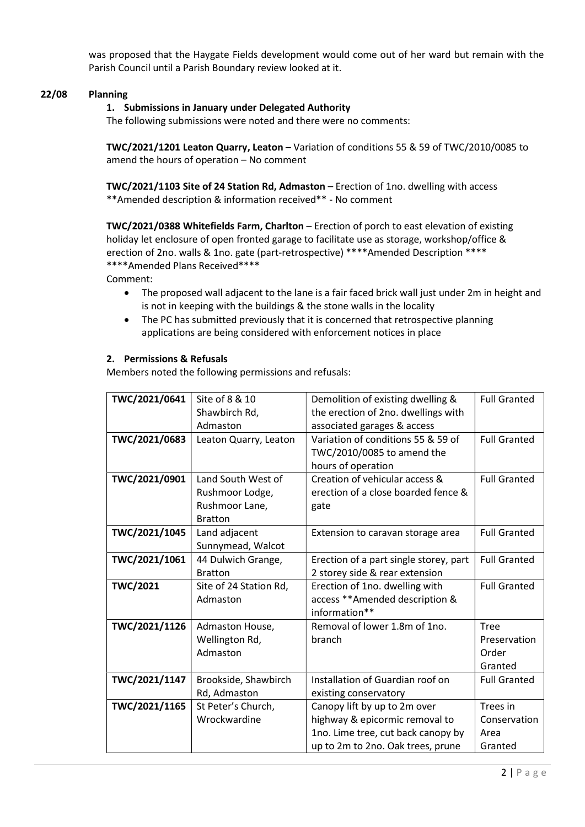was proposed that the Haygate Fields development would come out of her ward but remain with the Parish Council until a Parish Boundary review looked at it.

## 22/08 Planning

### 1. Submissions in January under Delegated Authority

The following submissions were noted and there were no comments:

TWC/2021/1201 Leaton Quarry, Leaton – Variation of conditions 55 & 59 of TWC/2010/0085 to amend the hours of operation – No comment

TWC/2021/1103 Site of 24 Station Rd, Admaston – Erection of 1no. dwelling with access \*\*Amended description & information received\*\* - No comment

TWC/2021/0388 Whitefields Farm, Charlton – Erection of porch to east elevation of existing holiday let enclosure of open fronted garage to facilitate use as storage, workshop/office & erection of 2no. walls & 1no. gate (part-retrospective) \*\*\*\*Amended Description \*\*\*\* \*\*\*\*Amended Plans Received\*\*\*\*

Comment:

- The proposed wall adjacent to the lane is a fair faced brick wall just under 2m in height and is not in keeping with the buildings & the stone walls in the locality
- The PC has submitted previously that it is concerned that retrospective planning applications are being considered with enforcement notices in place

#### 2. Permissions & Refusals

Members noted the following permissions and refusals:

| TWC/2021/0641                     | Site of 8 & 10<br><b>Full Granted</b><br>Demolition of existing dwelling & |                                                |                     |  |
|-----------------------------------|----------------------------------------------------------------------------|------------------------------------------------|---------------------|--|
|                                   | Shawbirch Rd,                                                              | the erection of 2no. dwellings with            |                     |  |
|                                   | Admaston                                                                   | associated garages & access                    |                     |  |
| TWC/2021/0683                     | Leaton Quarry, Leaton                                                      | Variation of conditions 55 & 59 of             | <b>Full Granted</b> |  |
|                                   |                                                                            | TWC/2010/0085 to amend the                     |                     |  |
|                                   |                                                                            | hours of operation                             |                     |  |
| TWC/2021/0901                     | Land South West of                                                         | Creation of vehicular access &                 | <b>Full Granted</b> |  |
|                                   | Rushmoor Lodge,                                                            | erection of a close boarded fence &            |                     |  |
|                                   | Rushmoor Lane,                                                             | gate                                           |                     |  |
| <b>Bratton</b>                    |                                                                            |                                                |                     |  |
| TWC/2021/1045                     | Land adjacent<br><b>Full Granted</b><br>Extension to caravan storage area  |                                                |                     |  |
| Sunnymead, Walcot                 |                                                                            |                                                |                     |  |
| TWC/2021/1061                     | 44 Dulwich Grange,                                                         | Erection of a part single storey, part         | <b>Full Granted</b> |  |
|                                   | <b>Bratton</b>                                                             | 2 storey side & rear extension                 |                     |  |
| <b>TWC/2021</b>                   | Site of 24 Station Rd,                                                     | Erection of 1no. dwelling with                 | <b>Full Granted</b> |  |
|                                   | Admaston                                                                   | access ** Amended description &                |                     |  |
|                                   |                                                                            | information**                                  |                     |  |
| TWC/2021/1126                     | Admaston House,                                                            | Removal of lower 1.8m of 1no.                  | <b>Tree</b>         |  |
|                                   | Wellington Rd,                                                             | branch                                         | Preservation        |  |
|                                   | Admaston                                                                   |                                                | Order               |  |
|                                   |                                                                            |                                                | Granted             |  |
| TWC/2021/1147                     | Brookside, Shawbirch                                                       | Installation of Guardian roof on               | <b>Full Granted</b> |  |
|                                   | Rd, Admaston<br>existing conservatory                                      |                                                |                     |  |
| TWC/2021/1165                     | St Peter's Church,                                                         | Trees in<br>Canopy lift by up to 2m over       |                     |  |
|                                   | Wrockwardine                                                               | highway & epicormic removal to<br>Conservation |                     |  |
|                                   | 1no. Lime tree, cut back canopy by<br>Area                                 |                                                |                     |  |
| up to 2m to 2no. Oak trees, prune |                                                                            |                                                | Granted             |  |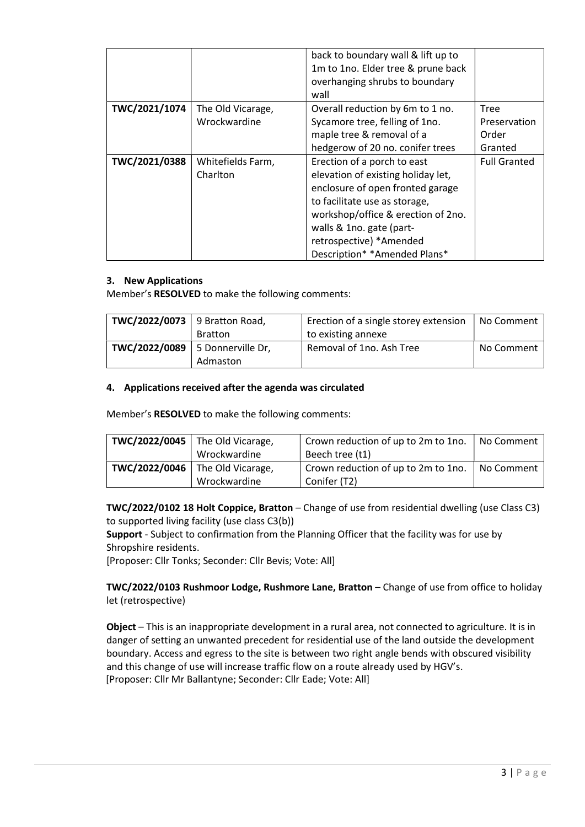|               |                   | back to boundary wall & lift up to<br>1m to 1no. Elder tree & prune back<br>overhanging shrubs to boundary<br>wall |                     |
|---------------|-------------------|--------------------------------------------------------------------------------------------------------------------|---------------------|
| TWC/2021/1074 | The Old Vicarage, | Overall reduction by 6m to 1 no.                                                                                   | Tree                |
|               | Wrockwardine      | Sycamore tree, felling of 1no.                                                                                     | Preservation        |
|               |                   | maple tree & removal of a                                                                                          | Order               |
|               |                   | hedgerow of 20 no. conifer trees<br>Granted                                                                        |                     |
| TWC/2021/0388 | Whitefields Farm, | Erection of a porch to east                                                                                        | <b>Full Granted</b> |
|               | Charlton          | elevation of existing holiday let,                                                                                 |                     |
|               |                   | enclosure of open fronted garage                                                                                   |                     |
|               |                   | to facilitate use as storage,                                                                                      |                     |
|               |                   | workshop/office & erection of 2no.                                                                                 |                     |
|               |                   | walls & 1no. gate (part-                                                                                           |                     |
|               |                   | retrospective) *Amended                                                                                            |                     |
|               |                   | Description* *Amended Plans*                                                                                       |                     |

### 3. New Applications

Member's RESOLVED to make the following comments:

| TWC/2022/0073   9 Bratton Road,   |                | Erection of a single storey extension | No Comment |
|-----------------------------------|----------------|---------------------------------------|------------|
|                                   | <b>Bratton</b> | to existing annexe                    |            |
| TWC/2022/0089   5 Donnerville Dr, | Admaston       | Removal of 1no. Ash Tree              | No Comment |

### 4. Applications received after the agenda was circulated

Member's RESOLVED to make the following comments:

| TWC/2022/0045 | The Old Vicarage,<br>Wrockwardine                 | Crown reduction of up to 2m to 1no.<br>Beech tree (t1)           | No Comment |
|---------------|---------------------------------------------------|------------------------------------------------------------------|------------|
|               | TWC/2022/0046   The Old Vicarage,<br>Wrockwardine | Crown reduction of up to 2m to 1no.   No Comment<br>Conifer (T2) |            |

TWC/2022/0102 18 Holt Coppice, Bratton – Change of use from residential dwelling (use Class C3) to supported living facility (use class C3(b))

Support - Subject to confirmation from the Planning Officer that the facility was for use by Shropshire residents.

[Proposer: Cllr Tonks; Seconder: Cllr Bevis; Vote: All]

TWC/2022/0103 Rushmoor Lodge, Rushmore Lane, Bratton – Change of use from office to holiday let (retrospective)

Object – This is an inappropriate development in a rural area, not connected to agriculture. It is in danger of setting an unwanted precedent for residential use of the land outside the development boundary. Access and egress to the site is between two right angle bends with obscured visibility and this change of use will increase traffic flow on a route already used by HGV's. [Proposer: Cllr Mr Ballantyne; Seconder: Cllr Eade; Vote: All]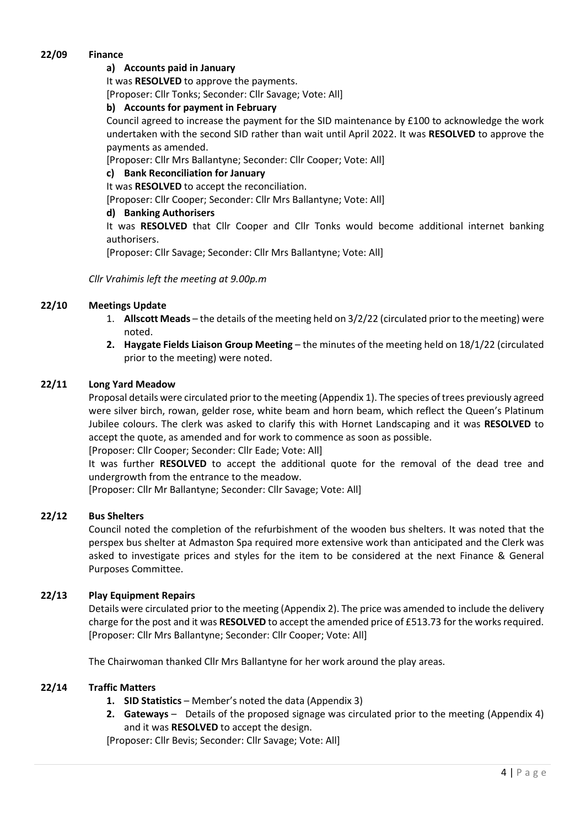### 22/09 Finance

### a) Accounts paid in January

It was RESOLVED to approve the payments.

[Proposer: Cllr Tonks; Seconder: Cllr Savage; Vote: All]

### b) Accounts for payment in February

Council agreed to increase the payment for the SID maintenance by £100 to acknowledge the work undertaken with the second SID rather than wait until April 2022. It was RESOLVED to approve the payments as amended.

[Proposer: Cllr Mrs Ballantyne; Seconder: Cllr Cooper; Vote: All]

### c) Bank Reconciliation for January

It was RESOLVED to accept the reconciliation.

[Proposer: Cllr Cooper; Seconder: Cllr Mrs Ballantyne; Vote: All]

### d) Banking Authorisers

It was RESOLVED that Cllr Cooper and Cllr Tonks would become additional internet banking authorisers.

[Proposer: Cllr Savage; Seconder: Cllr Mrs Ballantyne; Vote: All]

### Cllr Vrahimis left the meeting at 9.00p.m

### 22/10 Meetings Update

- 1. Allscott Meads the details of the meeting held on 3/2/22 (circulated prior to the meeting) were noted.
- 2. Haygate Fields Liaison Group Meeting the minutes of the meeting held on 18/1/22 (circulated prior to the meeting) were noted.

### 22/11 Long Yard Meadow

Proposal details were circulated prior to the meeting (Appendix 1). The species of trees previously agreed were silver birch, rowan, gelder rose, white beam and horn beam, which reflect the Queen's Platinum Jubilee colours. The clerk was asked to clarify this with Hornet Landscaping and it was RESOLVED to accept the quote, as amended and for work to commence as soon as possible.

[Proposer: Cllr Cooper; Seconder: Cllr Eade; Vote: All]

It was further RESOLVED to accept the additional quote for the removal of the dead tree and undergrowth from the entrance to the meadow.

[Proposer: Cllr Mr Ballantyne; Seconder: Cllr Savage; Vote: All]

#### 22/12 Bus Shelters

Council noted the completion of the refurbishment of the wooden bus shelters. It was noted that the perspex bus shelter at Admaston Spa required more extensive work than anticipated and the Clerk was asked to investigate prices and styles for the item to be considered at the next Finance & General Purposes Committee.

### 22/13 Play Equipment Repairs

Details were circulated prior to the meeting (Appendix 2). The price was amended to include the delivery charge for the post and it was RESOLVED to accept the amended price of £513.73 for the works required. [Proposer: Cllr Mrs Ballantyne; Seconder: Cllr Cooper; Vote: All]

The Chairwoman thanked Cllr Mrs Ballantyne for her work around the play areas.

#### 22/14 Traffic Matters

- 1. SID Statistics Member's noted the data (Appendix 3)
- 2. Gateways Details of the proposed signage was circulated prior to the meeting (Appendix 4) and it was RESOLVED to accept the design.

[Proposer: Cllr Bevis; Seconder: Cllr Savage; Vote: All]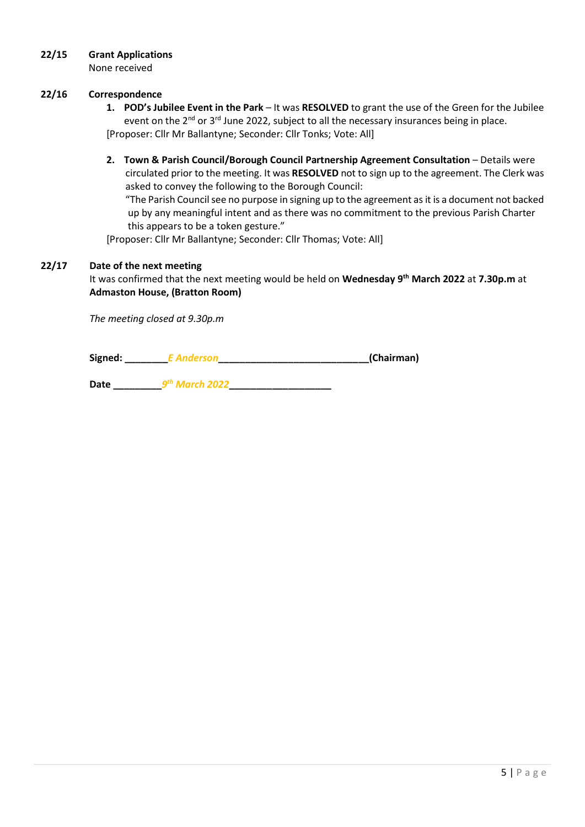### 22/15 Grant Applications

None received

### 22/16 Correspondence

- 1. POD's Jubilee Event in the Park It was RESOLVED to grant the use of the Green for the Jubilee event on the 2<sup>nd</sup> or 3<sup>rd</sup> June 2022, subject to all the necessary insurances being in place. [Proposer: Cllr Mr Ballantyne; Seconder: Cllr Tonks; Vote: All]
- 2. Town & Parish Council/Borough Council Partnership Agreement Consultation Details were circulated prior to the meeting. It was RESOLVED not to sign up to the agreement. The Clerk was asked to convey the following to the Borough Council:

 "The Parish Council see no purpose in signing up to the agreement as it is a document not backed up by any meaningful intent and as there was no commitment to the previous Parish Charter this appears to be a token gesture."

[Proposer: Cllr Mr Ballantyne; Seconder: Cllr Thomas; Vote: All]

### 22/17 Date of the next meeting

It was confirmed that the next meeting would be held on Wednesday 9<sup>th</sup> March 2022 at 7.30p.m at Admaston House, (Bratton Room)

The meeting closed at 9.30p.m

| Signed: |  | (Chairman) |
|---------|--|------------|
|---------|--|------------|

Date \_\_\_\_\_\_\_\_\_9 th March 2022\_\_\_\_\_\_\_\_\_\_\_\_\_\_\_\_\_\_\_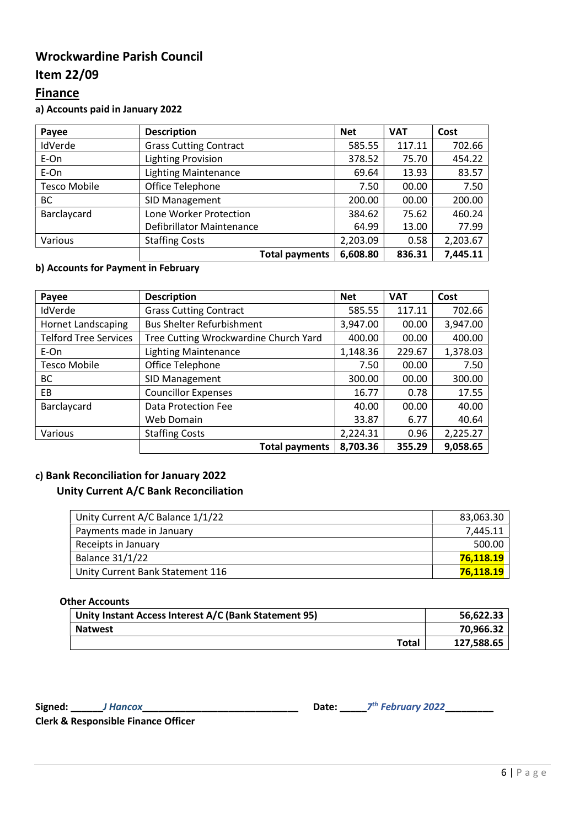# Wrockwardine Parish Council

# Item 22/09

# **Finance**

a) Accounts paid in January 2022

| Payee               | <b>Description</b>            | <b>Net</b> | <b>VAT</b> | Cost     |
|---------------------|-------------------------------|------------|------------|----------|
| IdVerde             | <b>Grass Cutting Contract</b> | 585.55     | 117.11     | 702.66   |
| E-On                | <b>Lighting Provision</b>     | 378.52     | 75.70      | 454.22   |
| E-On                | <b>Lighting Maintenance</b>   | 69.64      | 13.93      | 83.57    |
| <b>Tesco Mobile</b> | Office Telephone              | 7.50       | 00.00      | 7.50     |
| BC                  | SID Management                | 200.00     | 00.00      | 200.00   |
| Barclaycard         | Lone Worker Protection        | 384.62     | 75.62      | 460.24   |
|                     | Defibrillator Maintenance     | 64.99      | 13.00      | 77.99    |
| Various             | <b>Staffing Costs</b>         | 2,203.09   | 0.58       | 2,203.67 |
|                     | <b>Total payments</b>         | 6,608.80   | 836.31     | 7,445.11 |

## b) Accounts for Payment in February

| Payee                        | <b>Description</b>                    | <b>Net</b> | <b>VAT</b> | Cost     |
|------------------------------|---------------------------------------|------------|------------|----------|
| IdVerde                      | <b>Grass Cutting Contract</b>         | 585.55     | 117.11     | 702.66   |
| <b>Hornet Landscaping</b>    | <b>Bus Shelter Refurbishment</b>      | 3,947.00   | 00.00      | 3,947.00 |
| <b>Telford Tree Services</b> | Tree Cutting Wrockwardine Church Yard | 400.00     | 00.00      | 400.00   |
| E-On                         | <b>Lighting Maintenance</b>           | 1,148.36   | 229.67     | 1,378.03 |
| <b>Tesco Mobile</b>          | Office Telephone                      | 7.50       | 00.00      | 7.50     |
| BC                           | SID Management                        | 300.00     | 00.00      | 300.00   |
| <b>EB</b>                    | <b>Councillor Expenses</b>            | 16.77      | 0.78       | 17.55    |
| Barclaycard                  | Data Protection Fee                   | 40.00      | 00.00      | 40.00    |
|                              | Web Domain                            | 33.87      | 6.77       | 40.64    |
| Various                      | <b>Staffing Costs</b>                 | 2,224.31   | 0.96       | 2,225.27 |
|                              | <b>Total payments</b>                 | 8,703.36   | 355.29     | 9,058.65 |

### c) Bank Reconciliation for January 2022

### Unity Current A/C Bank Reconciliation

| Unity Current A/C Balance 1/1/22 | 83,063.30 |
|----------------------------------|-----------|
| Payments made in January         | 7,445.11  |
| Receipts in January              | 500.00    |
| <b>Balance 31/1/22</b>           | 76.118.19 |
| Unity Current Bank Statement 116 | 76.118.19 |

#### Other Accounts

| Unity Instant Access Interest A/C (Bank Statement 95) | 56,622.33  |
|-------------------------------------------------------|------------|
| <b>Natwest</b>                                        | 70,966.32  |
| Total                                                 | 127,588.65 |

Signed: \_\_\_\_\_\_\_\_\_ J Hancox

Date:  $7^{th}$  February 2022

Clerk & Responsible Finance Officer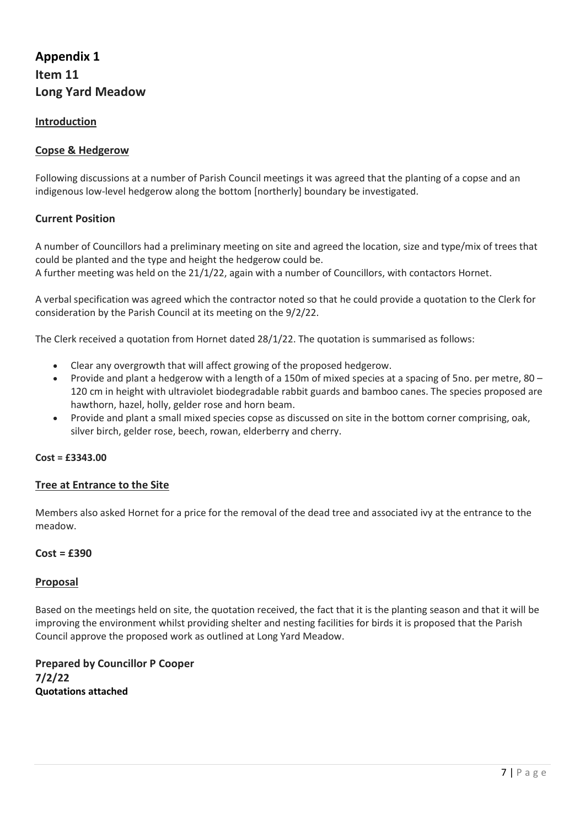# Appendix 1 Item 11 Long Yard Meadow

### Introduction

### Copse & Hedgerow

Following discussions at a number of Parish Council meetings it was agreed that the planting of a copse and an indigenous low-level hedgerow along the bottom [northerly] boundary be investigated.

### Current Position

A number of Councillors had a preliminary meeting on site and agreed the location, size and type/mix of trees that could be planted and the type and height the hedgerow could be.

A further meeting was held on the 21/1/22, again with a number of Councillors, with contactors Hornet.

A verbal specification was agreed which the contractor noted so that he could provide a quotation to the Clerk for consideration by the Parish Council at its meeting on the 9/2/22.

The Clerk received a quotation from Hornet dated 28/1/22. The quotation is summarised as follows:

- Clear any overgrowth that will affect growing of the proposed hedgerow.
- Provide and plant a hedgerow with a length of a 150m of mixed species at a spacing of 5no. per metre, 80 120 cm in height with ultraviolet biodegradable rabbit guards and bamboo canes. The species proposed are hawthorn, hazel, holly, gelder rose and horn beam.
- Provide and plant a small mixed species copse as discussed on site in the bottom corner comprising, oak, silver birch, gelder rose, beech, rowan, elderberry and cherry.

#### Cost = £3343.00

### Tree at Entrance to the Site

Members also asked Hornet for a price for the removal of the dead tree and associated ivy at the entrance to the meadow.

#### $Cost = £390$

#### Proposal

Based on the meetings held on site, the quotation received, the fact that it is the planting season and that it will be improving the environment whilst providing shelter and nesting facilities for birds it is proposed that the Parish Council approve the proposed work as outlined at Long Yard Meadow.

Prepared by Councillor P Cooper 7/2/22 Quotations attached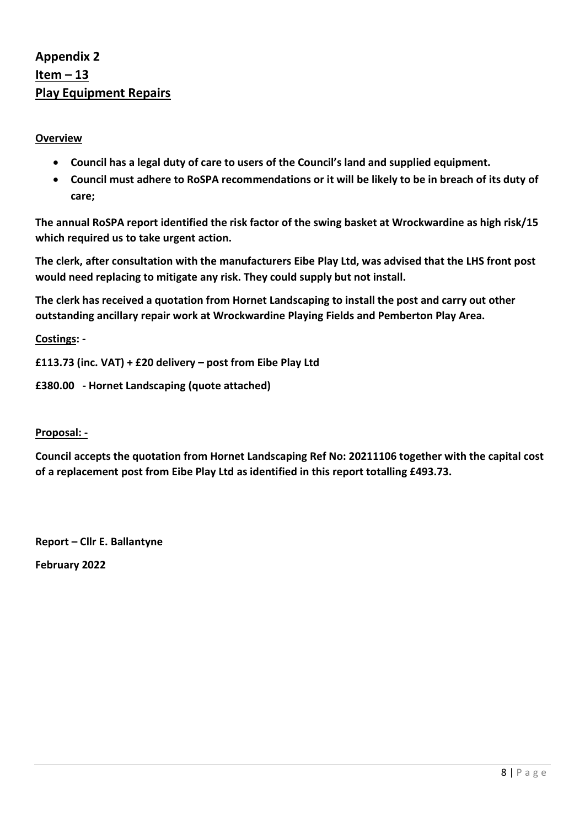# Appendix 2 Item – 13 Play Equipment Repairs

## **Overview**

- Council has a legal duty of care to users of the Council's land and supplied equipment.
- Council must adhere to RoSPA recommendations or it will be likely to be in breach of its duty of care;

The annual RoSPA report identified the risk factor of the swing basket at Wrockwardine as high risk/15 which required us to take urgent action.

The clerk, after consultation with the manufacturers Eibe Play Ltd, was advised that the LHS front post would need replacing to mitigate any risk. They could supply but not install.

The clerk has received a quotation from Hornet Landscaping to install the post and carry out other outstanding ancillary repair work at Wrockwardine Playing Fields and Pemberton Play Area.

Costings: -

```
£113.73 (inc. VAT) + £20 delivery – post from Eibe Play Ltd
```
£380.00 - Hornet Landscaping (quote attached)

## Proposal: -

Council accepts the quotation from Hornet Landscaping Ref No: 20211106 together with the capital cost of a replacement post from Eibe Play Ltd as identified in this report totalling £493.73.

Report – Cllr E. Ballantyne February 2022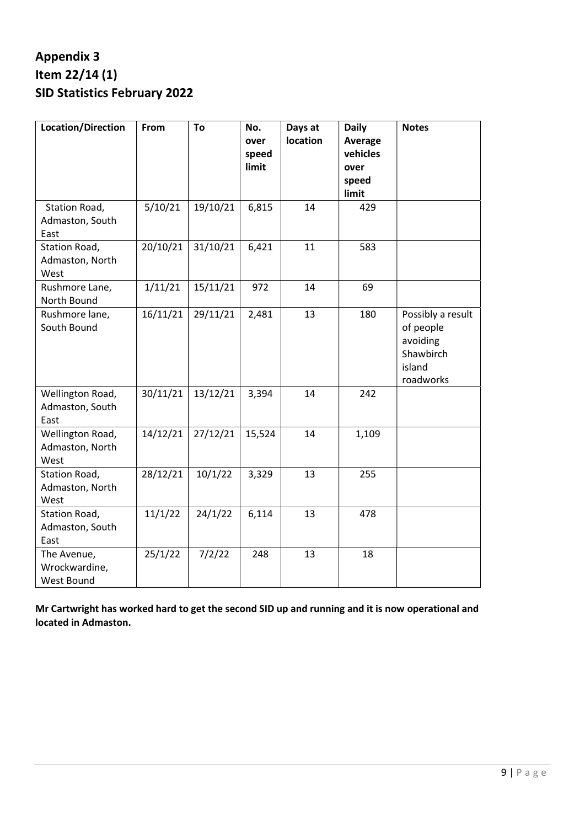# Appendix 3 Item 22/14 (1) SID Statistics February 2022

| <b>Location/Direction</b>                   | From     | To       | No.<br>over<br>speed<br>limit | Days at<br>location | <b>Daily</b><br>Average<br>vehicles<br>over<br>speed<br>limit | <b>Notes</b>                                                                   |
|---------------------------------------------|----------|----------|-------------------------------|---------------------|---------------------------------------------------------------|--------------------------------------------------------------------------------|
| Station Road,<br>Admaston, South<br>East    | 5/10/21  | 19/10/21 | 6,815                         | 14                  | 429                                                           |                                                                                |
| Station Road,<br>Admaston, North<br>West    | 20/10/21 | 31/10/21 | 6,421                         | 11                  | 583                                                           |                                                                                |
| Rushmore Lane,<br>North Bound               | 1/11/21  | 15/11/21 | 972                           | 14                  | 69                                                            |                                                                                |
| Rushmore lane,<br>South Bound               | 16/11/21 | 29/11/21 | 2,481                         | 13                  | 180                                                           | Possibly a result<br>of people<br>avoiding<br>Shawbirch<br>island<br>roadworks |
| Wellington Road,<br>Admaston, South<br>East | 30/11/21 | 13/12/21 | 3,394                         | 14                  | 242                                                           |                                                                                |
| Wellington Road,<br>Admaston, North<br>West | 14/12/21 | 27/12/21 | 15,524                        | 14                  | 1,109                                                         |                                                                                |
| Station Road,<br>Admaston, North<br>West    | 28/12/21 | 10/1/22  | 3,329                         | 13                  | 255                                                           |                                                                                |
| Station Road,<br>Admaston, South<br>East    | 11/1/22  | 24/1/22  | 6,114                         | 13                  | 478                                                           |                                                                                |
| The Avenue,<br>Wrockwardine,<br>West Bound  | 25/1/22  | 7/2/22   | 248                           | 13                  | 18                                                            |                                                                                |

Mr Cartwright has worked hard to get the second SID up and running and it is now operational and located in Admaston.